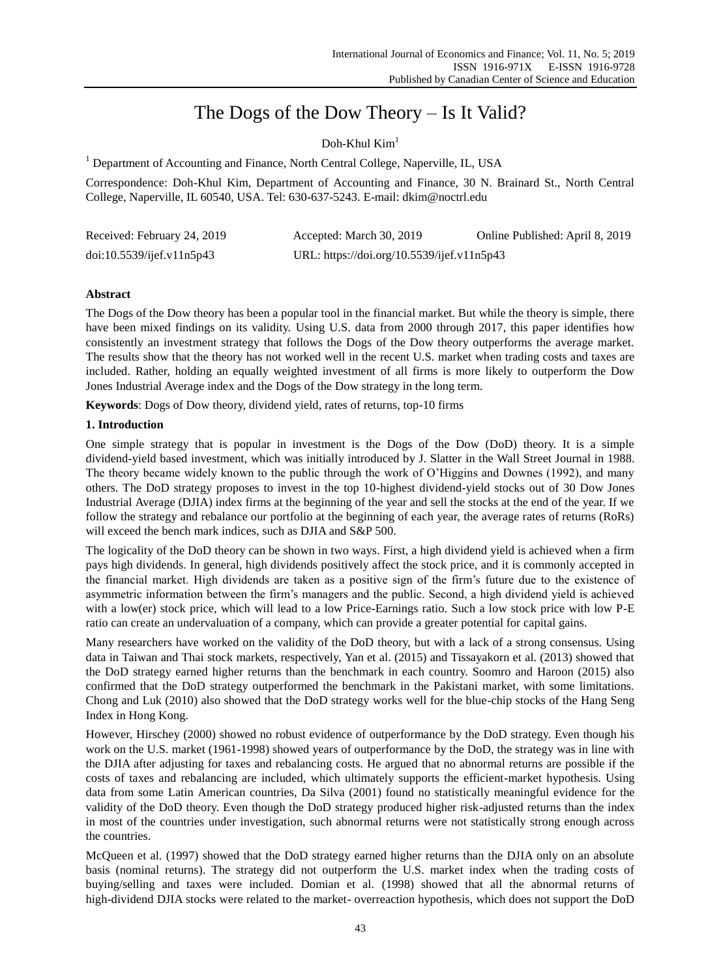# The Dogs of the Dow Theory – Is It Valid?

Doh-Khul  $Kim<sup>1</sup>$ 

<sup>1</sup> Department of Accounting and Finance, North Central College, Naperville, IL, USA

Correspondence: Doh-Khul Kim, Department of Accounting and Finance, 30 N. Brainard St., North Central College, Naperville, IL 60540, USA. Tel: 630-637-5243. E-mail: dkim@noctrl.edu

| Received: February 24, 2019 | Accepted: March 30, 2019                   | Online Published: April 8, 2019 |
|-----------------------------|--------------------------------------------|---------------------------------|
| doi:10.5539/ijef.v11n5p43   | URL: https://doi.org/10.5539/ijef.v11n5p43 |                                 |

# **Abstract**

The Dogs of the Dow theory has been a popular tool in the financial market. But while the theory is simple, there have been mixed findings on its validity. Using U.S. data from 2000 through 2017, this paper identifies how consistently an investment strategy that follows the Dogs of the Dow theory outperforms the average market. The results show that the theory has not worked well in the recent U.S. market when trading costs and taxes are included. Rather, holding an equally weighted investment of all firms is more likely to outperform the Dow Jones Industrial Average index and the Dogs of the Dow strategy in the long term.

**Keywords**: Dogs of Dow theory, dividend yield, rates of returns, top-10 firms

# **1. Introduction**

One simple strategy that is popular in investment is the Dogs of the Dow (DoD) theory. It is a simple dividend-yield based investment, which was initially introduced by J. Slatter in the Wall Street Journal in 1988. The theory became widely known to the public through the work of O'Higgins and Downes (1992), and many others. The DoD strategy proposes to invest in the top 10-highest dividend-yield stocks out of 30 Dow Jones Industrial Average (DJIA) index firms at the beginning of the year and sell the stocks at the end of the year. If we follow the strategy and rebalance our portfolio at the beginning of each year, the average rates of returns (RoRs) will exceed the bench mark indices, such as DJIA and S&P 500.

The logicality of the DoD theory can be shown in two ways. First, a high dividend yield is achieved when a firm pays high dividends. In general, high dividends positively affect the stock price, and it is commonly accepted in the financial market. High dividends are taken as a positive sign of the firm's future due to the existence of asymmetric information between the firm's managers and the public. Second, a high dividend yield is achieved with a low(er) stock price, which will lead to a low Price-Earnings ratio. Such a low stock price with low P-E ratio can create an undervaluation of a company, which can provide a greater potential for capital gains.

Many researchers have worked on the validity of the DoD theory, but with a lack of a strong consensus. Using data in Taiwan and Thai stock markets, respectively, Yan et al. (2015) and Tissayakorn et al. (2013) showed that the DoD strategy earned higher returns than the benchmark in each country. Soomro and Haroon (2015) also confirmed that the DoD strategy outperformed the benchmark in the Pakistani market, with some limitations. Chong and Luk (2010) also showed that the DoD strategy works well for the blue-chip stocks of the Hang Seng Index in Hong Kong.

However, Hirschey (2000) showed no robust evidence of outperformance by the DoD strategy. Even though his work on the U.S. market (1961-1998) showed years of outperformance by the DoD, the strategy was in line with the DJIA after adjusting for taxes and rebalancing costs. He argued that no abnormal returns are possible if the costs of taxes and rebalancing are included, which ultimately supports the efficient-market hypothesis. Using data from some Latin American countries, Da Silva (2001) found no statistically meaningful evidence for the validity of the DoD theory. Even though the DoD strategy produced higher risk-adjusted returns than the index in most of the countries under investigation, such abnormal returns were not statistically strong enough across the countries.

McQueen et al. (1997) showed that the DoD strategy earned higher returns than the DJIA only on an absolute basis (nominal returns). The strategy did not outperform the U.S. market index when the trading costs of buying/selling and taxes were included. Domian et al. (1998) showed that all the abnormal returns of high-dividend DJIA stocks were related to the market- overreaction hypothesis, which does not support the DoD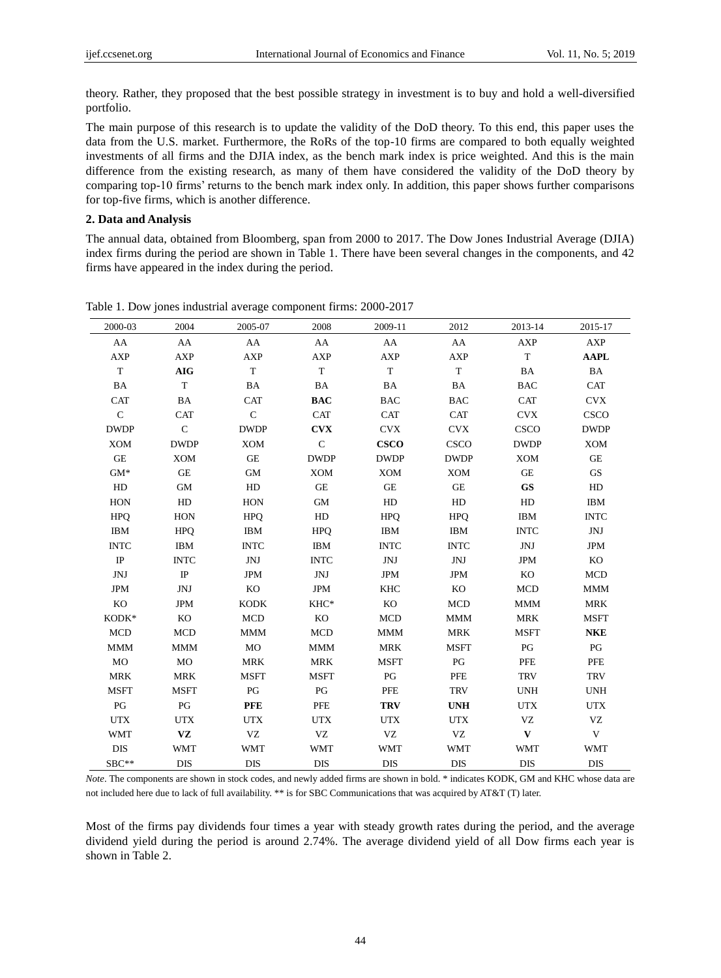theory. Rather, they proposed that the best possible strategy in investment is to buy and hold a well-diversified portfolio.

The main purpose of this research is to update the validity of the DoD theory. To this end, this paper uses the data from the U.S. market. Furthermore, the RoRs of the top-10 firms are compared to both equally weighted investments of all firms and the DJIA index, as the bench mark index is price weighted. And this is the main difference from the existing research, as many of them have considered the validity of the DoD theory by comparing top-10 firms' returns to the bench mark index only. In addition, this paper shows further comparisons for top-five firms, which is another difference.

### **2. Data and Analysis**

The annual data, obtained from Bloomberg, span from 2000 to 2017. The Dow Jones Industrial Average (DJIA) index firms during the period are shown in Table 1. There have been several changes in the components, and 42 firms have appeared in the index during the period.

| 2000-03     | 2004        | 2005-07      | 2008        | 2009-11     | 2012        | 2013-14      | 2015-17             |
|-------------|-------------|--------------|-------------|-------------|-------------|--------------|---------------------|
| AA          | AA          | AA           | AA          | AA          | AA          | <b>AXP</b>   | <b>AXP</b>          |
| <b>AXP</b>  | <b>AXP</b>  | <b>AXP</b>   | <b>AXP</b>  | <b>AXP</b>  | <b>AXP</b>  | T            | <b>AAPL</b>         |
| $\mathbf T$ | <b>AIG</b>  | T            | $\mathbf T$ | T           | $\mathbf T$ | <b>BA</b>    | BA                  |
| <b>BA</b>   | $\mathbf T$ | <b>BA</b>    | BA          | BA          | BA          | <b>BAC</b>   | CAT                 |
| <b>CAT</b>  | BA          | <b>CAT</b>   | <b>BAC</b>  | <b>BAC</b>  | <b>BAC</b>  | <b>CAT</b>   | <b>CVX</b>          |
| $\mathbf C$ | <b>CAT</b>  | $\mathsf{C}$ | <b>CAT</b>  | <b>CAT</b>  | <b>CAT</b>  | <b>CVX</b>   | <b>CSCO</b>         |
| <b>DWDP</b> | $\mathbf C$ | <b>DWDP</b>  | <b>CVX</b>  | <b>CVX</b>  | <b>CVX</b>  | CSCO         | <b>DWDP</b>         |
| <b>XOM</b>  | <b>DWDP</b> | <b>XOM</b>   | $\mathbf C$ | <b>CSCO</b> | <b>CSCO</b> | <b>DWDP</b>  | <b>XOM</b>          |
| GE          | <b>XOM</b>  | <b>GE</b>    | <b>DWDP</b> | <b>DWDP</b> | <b>DWDP</b> | <b>XOM</b>   | $\operatorname{GE}$ |
| $GM*$       | <b>GE</b>   | <b>GM</b>    | <b>XOM</b>  | <b>XOM</b>  | <b>XOM</b>  | GE           | <b>GS</b>           |
| HD          | GM          | HD           | <b>GE</b>   | <b>GE</b>   | <b>GE</b>   | <b>GS</b>    | HD                  |
| HON         | HD          | HON          | GM          | HD          | HD          | HD           | <b>IBM</b>          |
| <b>HPO</b>  | <b>HON</b>  | <b>HPQ</b>   | HD          | <b>HPO</b>  | <b>HPQ</b>  | <b>IBM</b>   | <b>INTC</b>         |
| <b>IBM</b>  | <b>HPQ</b>  | <b>IBM</b>   | <b>HPQ</b>  | <b>IBM</b>  | <b>IBM</b>  | <b>INTC</b>  | JNJ                 |
| <b>INTC</b> | <b>IBM</b>  | <b>INTC</b>  | <b>IBM</b>  | <b>INTC</b> | <b>INTC</b> | JNJ          | <b>JPM</b>          |
| IP          | <b>INTC</b> | <b>JNJ</b>   | <b>INTC</b> | JNJ         | JNJ         | <b>JPM</b>   | KO                  |
| JNJ         | $\rm IP$    | <b>JPM</b>   | JNJ         | <b>JPM</b>  | <b>JPM</b>  | KO           | <b>MCD</b>          |
| <b>JPM</b>  | <b>JNJ</b>  | KO           | <b>JPM</b>  | <b>KHC</b>  | KO          | <b>MCD</b>   | <b>MMM</b>          |
| KO          | <b>JPM</b>  | <b>KODK</b>  | KHC*        | KO          | <b>MCD</b>  | <b>MMM</b>   | <b>MRK</b>          |
| KODK*       | KO          | <b>MCD</b>   | KO          | <b>MCD</b>  | <b>MMM</b>  | <b>MRK</b>   | <b>MSFT</b>         |
| <b>MCD</b>  | <b>MCD</b>  | <b>MMM</b>   | <b>MCD</b>  | <b>MMM</b>  | <b>MRK</b>  | <b>MSFT</b>  | <b>NKE</b>          |
| <b>MMM</b>  | <b>MMM</b>  | MO           | <b>MMM</b>  | <b>MRK</b>  | <b>MSFT</b> | PG           | PG                  |
| MO          | MO          | <b>MRK</b>   | <b>MRK</b>  | <b>MSFT</b> | PG          | <b>PFE</b>   | PFE                 |
| <b>MRK</b>  | <b>MRK</b>  | <b>MSFT</b>  | <b>MSFT</b> | PG          | <b>PFE</b>  | <b>TRV</b>   | <b>TRV</b>          |
| <b>MSFT</b> | <b>MSFT</b> | PG           | PG          | <b>PFE</b>  | <b>TRV</b>  | <b>UNH</b>   | <b>UNH</b>          |
| PG          | PG          | <b>PFE</b>   | PFE         | <b>TRV</b>  | <b>UNH</b>  | <b>UTX</b>   | <b>UTX</b>          |
| <b>UTX</b>  | <b>UTX</b>  | <b>UTX</b>   | <b>UTX</b>  | <b>UTX</b>  | <b>UTX</b>  | <b>VZ</b>    | VZ                  |
| <b>WMT</b>  | VZ          | VZ           | VZ          | VZ          | VZ          | $\mathbf{V}$ | V                   |
| DIS         | <b>WMT</b>  | <b>WMT</b>   | <b>WMT</b>  | <b>WMT</b>  | <b>WMT</b>  | <b>WMT</b>   | <b>WMT</b>          |
| SBC**       | <b>DIS</b>  | <b>DIS</b>   | <b>DIS</b>  | <b>DIS</b>  | <b>DIS</b>  | <b>DIS</b>   | <b>DIS</b>          |

Table 1. Dow jones industrial average component firms: 2000-2017

*Note*. The components are shown in stock codes, and newly added firms are shown in bold. \* indicates KODK, GM and KHC whose data are not included here due to lack of full availability. \*\* is for SBC Communications that was acquired by AT&T (T) later.

Most of the firms pay dividends four times a year with steady growth rates during the period, and the average dividend yield during the period is around 2.74%. The average dividend yield of all Dow firms each year is shown in Table 2.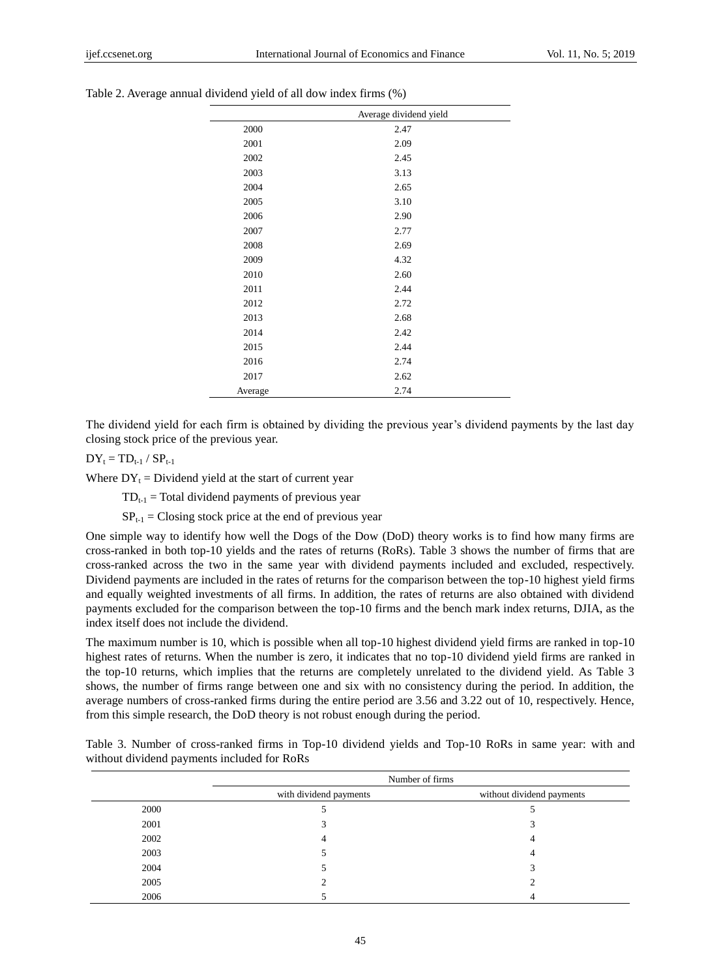|         | Average dividend yield |
|---------|------------------------|
| 2000    | 2.47                   |
| 2001    | 2.09                   |
| 2002    | 2.45                   |
| 2003    | 3.13                   |
| 2004    | 2.65                   |
| 2005    | 3.10                   |
| 2006    | 2.90                   |
| 2007    | 2.77                   |
| 2008    | 2.69                   |
| 2009    | 4.32                   |
| 2010    | 2.60                   |
| 2011    | 2.44                   |
| 2012    | 2.72                   |
| 2013    | 2.68                   |
| 2014    | 2.42                   |
| 2015    | 2.44                   |
| 2016    | 2.74                   |
| 2017    | 2.62                   |
| Average | 2.74                   |

Table 2. Average annual dividend yield of all dow index firms (%)

The dividend yield for each firm is obtained by dividing the previous year's dividend payments by the last day closing stock price of the previous year.

 $DY_t = TD_{t-1} / SP_{t-1}$ 

Where  $DY_t = Dividend$  yield at the start of current year

 $TD_{t-1}$  = Total dividend payments of previous year

 $SP_{t-1} = Closing$  stock price at the end of previous year

One simple way to identify how well the Dogs of the Dow (DoD) theory works is to find how many firms are cross-ranked in both top-10 yields and the rates of returns (RoRs). Table 3 shows the number of firms that are cross-ranked across the two in the same year with dividend payments included and excluded, respectively. Dividend payments are included in the rates of returns for the comparison between the top-10 highest yield firms and equally weighted investments of all firms. In addition, the rates of returns are also obtained with dividend payments excluded for the comparison between the top-10 firms and the bench mark index returns, DJIA, as the index itself does not include the dividend.

The maximum number is 10, which is possible when all top-10 highest dividend yield firms are ranked in top-10 highest rates of returns. When the number is zero, it indicates that no top-10 dividend yield firms are ranked in the top-10 returns, which implies that the returns are completely unrelated to the dividend yield. As Table 3 shows, the number of firms range between one and six with no consistency during the period. In addition, the average numbers of cross-ranked firms during the entire period are 3.56 and 3.22 out of 10, respectively. Hence, from this simple research, the DoD theory is not robust enough during the period.

| Table 3. Number of cross-ranked firms in Top-10 dividend yields and Top-10 RoRs in same year: with and |  |  |  |  |  |
|--------------------------------------------------------------------------------------------------------|--|--|--|--|--|
| without dividend payments included for RoRs                                                            |  |  |  |  |  |

|      | Number of firms        |                           |  |  |  |
|------|------------------------|---------------------------|--|--|--|
|      | with dividend payments | without dividend payments |  |  |  |
| 2000 |                        |                           |  |  |  |
| 2001 |                        |                           |  |  |  |
| 2002 | 4                      | 4                         |  |  |  |
| 2003 | . .                    | 4                         |  |  |  |
| 2004 | . .                    | J.                        |  |  |  |
| 2005 |                        |                           |  |  |  |
| 2006 |                        |                           |  |  |  |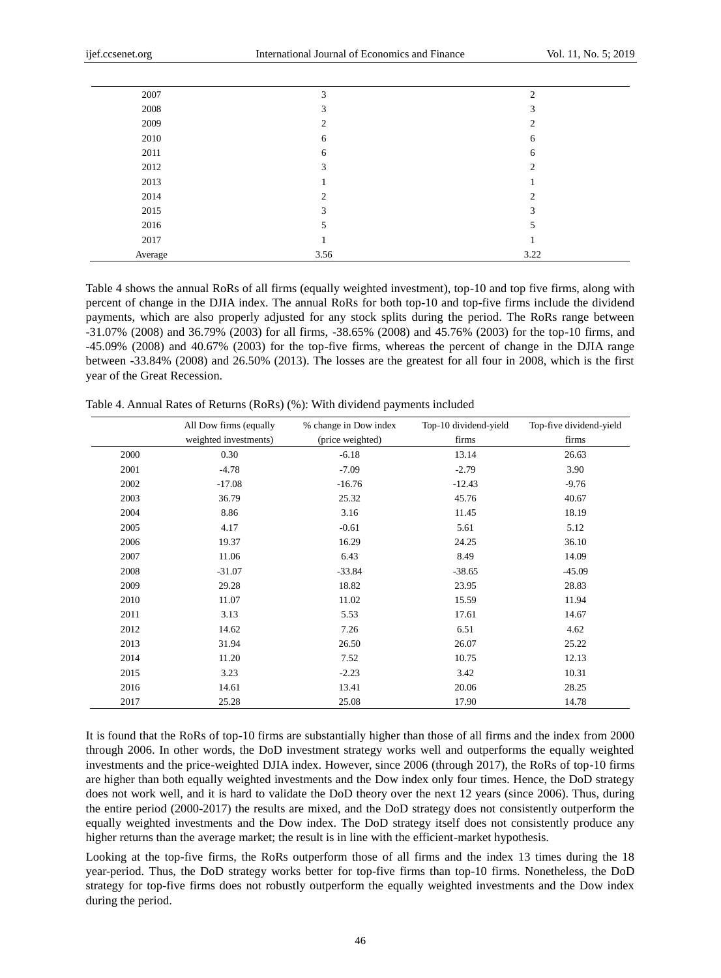| 2007    | 3              | 2             |
|---------|----------------|---------------|
| 2008    | 3              | 3             |
| 2009    | $\overline{c}$ | C.            |
| 2010    | 6              | 6             |
| 2011    | 6              | 6             |
| 2012    | 3              | $\mathcal{L}$ |
| 2013    |                |               |
| 2014    | $\overline{c}$ | 2             |
| 2015    | 3              | 3             |
| 2016    | 5              | 5             |
| 2017    |                |               |
| Average | 3.56           | 3.22          |

Table 4 shows the annual RoRs of all firms (equally weighted investment), top-10 and top five firms, along with percent of change in the DJIA index. The annual RoRs for both top-10 and top-five firms include the dividend payments, which are also properly adjusted for any stock splits during the period. The RoRs range between -31.07% (2008) and 36.79% (2003) for all firms, -38.65% (2008) and 45.76% (2003) for the top-10 firms, and -45.09% (2008) and 40.67% (2003) for the top-five firms, whereas the percent of change in the DJIA range between -33.84% (2008) and 26.50% (2013). The losses are the greatest for all four in 2008, which is the first year of the Great Recession.

|      | All Dow firms (equally | % change in Dow index | Top-10 dividend-yield | Top-five dividend-yield |
|------|------------------------|-----------------------|-----------------------|-------------------------|
|      | weighted investments)  | (price weighted)      | firms                 | firms                   |
| 2000 | 0.30                   | $-6.18$               | 13.14                 | 26.63                   |
| 2001 | $-4.78$                | $-7.09$               | $-2.79$               | 3.90                    |
| 2002 | $-17.08$               | $-16.76$              | $-12.43$              | $-9.76$                 |
| 2003 | 36.79                  | 25.32                 | 45.76                 | 40.67                   |
| 2004 | 8.86                   | 3.16                  | 11.45                 | 18.19                   |
| 2005 | 4.17                   | $-0.61$               | 5.61                  | 5.12                    |
| 2006 | 19.37                  | 16.29                 | 24.25                 | 36.10                   |
| 2007 | 11.06                  | 6.43                  | 8.49                  | 14.09                   |
| 2008 | $-31.07$               | $-33.84$              | $-38.65$              | $-45.09$                |
| 2009 | 29.28                  | 18.82                 | 23.95                 | 28.83                   |
| 2010 | 11.07                  | 11.02                 | 15.59                 | 11.94                   |
| 2011 | 3.13                   | 5.53                  | 17.61                 | 14.67                   |
| 2012 | 14.62                  | 7.26                  | 6.51                  | 4.62                    |
| 2013 | 31.94                  | 26.50                 | 26.07                 | 25.22                   |
| 2014 | 11.20                  | 7.52                  | 10.75                 | 12.13                   |
| 2015 | 3.23                   | $-2.23$               | 3.42                  | 10.31                   |
| 2016 | 14.61                  | 13.41                 | 20.06                 | 28.25                   |
| 2017 | 25.28                  | 25.08                 | 17.90                 | 14.78                   |

Table 4. Annual Rates of Returns (RoRs) (%): With dividend payments included

It is found that the RoRs of top-10 firms are substantially higher than those of all firms and the index from 2000 through 2006. In other words, the DoD investment strategy works well and outperforms the equally weighted investments and the price-weighted DJIA index. However, since 2006 (through 2017), the RoRs of top-10 firms are higher than both equally weighted investments and the Dow index only four times. Hence, the DoD strategy does not work well, and it is hard to validate the DoD theory over the next 12 years (since 2006). Thus, during the entire period (2000-2017) the results are mixed, and the DoD strategy does not consistently outperform the equally weighted investments and the Dow index. The DoD strategy itself does not consistently produce any higher returns than the average market; the result is in line with the efficient-market hypothesis.

Looking at the top-five firms, the RoRs outperform those of all firms and the index 13 times during the 18 year-period. Thus, the DoD strategy works better for top-five firms than top-10 firms. Nonetheless, the DoD strategy for top-five firms does not robustly outperform the equally weighted investments and the Dow index during the period.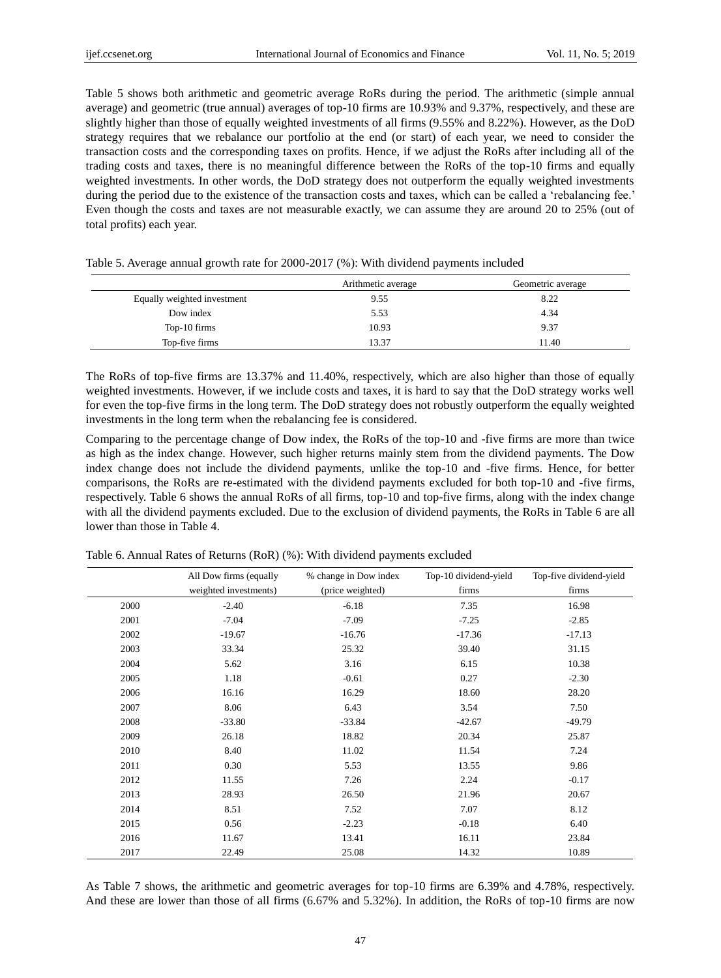Table 5 shows both arithmetic and geometric average RoRs during the period. The arithmetic (simple annual average) and geometric (true annual) averages of top-10 firms are 10.93% and 9.37%, respectively, and these are slightly higher than those of equally weighted investments of all firms (9.55% and 8.22%). However, as the DoD strategy requires that we rebalance our portfolio at the end (or start) of each year, we need to consider the transaction costs and the corresponding taxes on profits. Hence, if we adjust the RoRs after including all of the trading costs and taxes, there is no meaningful difference between the RoRs of the top-10 firms and equally weighted investments. In other words, the DoD strategy does not outperform the equally weighted investments during the period due to the existence of the transaction costs and taxes, which can be called a 'rebalancing fee.' Even though the costs and taxes are not measurable exactly, we can assume they are around 20 to 25% (out of total profits) each year.

|                             | Arithmetic average | Geometric average |
|-----------------------------|--------------------|-------------------|
| Equally weighted investment | 9.55               | 8.22              |
| Dow index                   | 5.53               | 4.34              |
| Top-10 firms                | 10.93              | 9.37              |
| Top-five firms              | 13.37              | 11.40             |

Table 5. Average annual growth rate for 2000-2017 (%): With dividend payments included

The RoRs of top-five firms are 13.37% and 11.40%, respectively, which are also higher than those of equally weighted investments. However, if we include costs and taxes, it is hard to say that the DoD strategy works well for even the top-five firms in the long term. The DoD strategy does not robustly outperform the equally weighted investments in the long term when the rebalancing fee is considered.

Comparing to the percentage change of Dow index, the RoRs of the top-10 and -five firms are more than twice as high as the index change. However, such higher returns mainly stem from the dividend payments. The Dow index change does not include the dividend payments, unlike the top-10 and -five firms. Hence, for better comparisons, the RoRs are re-estimated with the dividend payments excluded for both top-10 and -five firms, respectively. Table 6 shows the annual RoRs of all firms, top-10 and top-five firms, along with the index change with all the dividend payments excluded. Due to the exclusion of dividend payments, the RoRs in Table 6 are all lower than those in Table 4.

|      | All Dow firms (equally | % change in Dow index | Top-10 dividend-yield | Top-five dividend-yield |
|------|------------------------|-----------------------|-----------------------|-------------------------|
|      | weighted investments)  | (price weighted)      | firms                 | firms                   |
| 2000 | $-2.40$                | $-6.18$               | 7.35                  | 16.98                   |
| 2001 | $-7.04$                | $-7.09$               | $-7.25$               | $-2.85$                 |
| 2002 | $-19.67$               | $-16.76$              | $-17.36$              | $-17.13$                |
| 2003 | 33.34                  | 25.32                 | 39.40                 | 31.15                   |
| 2004 | 5.62                   | 3.16                  | 6.15                  | 10.38                   |
| 2005 | 1.18                   | $-0.61$               | 0.27                  | $-2.30$                 |
| 2006 | 16.16                  | 16.29                 | 18.60                 | 28.20                   |
| 2007 | 8.06                   | 6.43                  | 3.54                  | 7.50                    |
| 2008 | $-33.80$               | $-33.84$              | $-42.67$              | $-49.79$                |
| 2009 | 26.18                  | 18.82                 | 20.34                 | 25.87                   |
| 2010 | 8.40                   | 11.02                 | 11.54                 | 7.24                    |
| 2011 | 0.30                   | 5.53                  | 13.55                 | 9.86                    |
| 2012 | 11.55                  | 7.26                  | 2.24                  | $-0.17$                 |
| 2013 | 28.93                  | 26.50                 | 21.96                 | 20.67                   |
| 2014 | 8.51                   | 7.52                  | 7.07                  | 8.12                    |
| 2015 | 0.56                   | $-2.23$               | $-0.18$               | 6.40                    |
| 2016 | 11.67                  | 13.41                 | 16.11                 | 23.84                   |
| 2017 | 22.49                  | 25.08                 | 14.32                 | 10.89                   |

Table 6. Annual Rates of Returns (RoR) (%): With dividend payments excluded

As Table 7 shows, the arithmetic and geometric averages for top-10 firms are 6.39% and 4.78%, respectively. And these are lower than those of all firms (6.67% and 5.32%). In addition, the RoRs of top-10 firms are now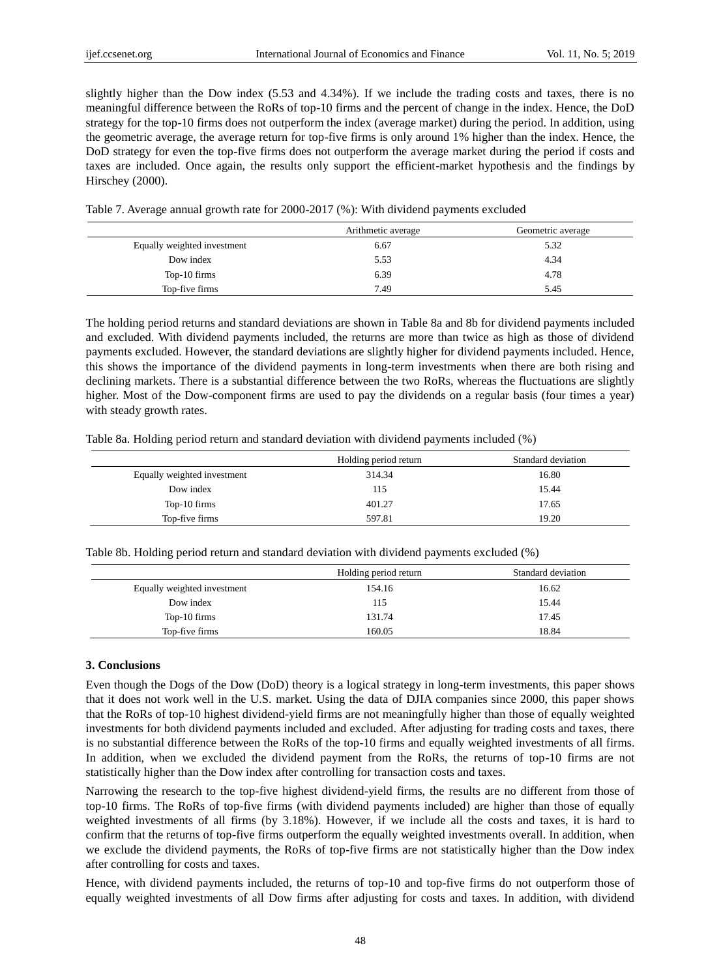slightly higher than the Dow index (5.53 and 4.34%). If we include the trading costs and taxes, there is no meaningful difference between the RoRs of top-10 firms and the percent of change in the index. Hence, the DoD strategy for the top-10 firms does not outperform the index (average market) during the period. In addition, using the geometric average, the average return for top-five firms is only around 1% higher than the index. Hence, the DoD strategy for even the top-five firms does not outperform the average market during the period if costs and taxes are included. Once again, the results only support the efficient-market hypothesis and the findings by Hirschey (2000).

Table 7. Average annual growth rate for 2000-2017 (%): With dividend payments excluded

|                             | Arithmetic average | Geometric average |
|-----------------------------|--------------------|-------------------|
| Equally weighted investment | 6.67               | 5.32              |
| Dow index                   | 5.53               | 4.34              |
| Top-10 firms                | 6.39               | 4.78              |
| Top-five firms              | 7.49               | 5.45              |

The holding period returns and standard deviations are shown in Table 8a and 8b for dividend payments included and excluded. With dividend payments included, the returns are more than twice as high as those of dividend payments excluded. However, the standard deviations are slightly higher for dividend payments included. Hence, this shows the importance of the dividend payments in long-term investments when there are both rising and declining markets. There is a substantial difference between the two RoRs, whereas the fluctuations are slightly higher. Most of the Dow-component firms are used to pay the dividends on a regular basis (four times a year) with steady growth rates.

|  |  | Table 8a. Holding period return and standard deviation with dividend payments included (%) |  |  |
|--|--|--------------------------------------------------------------------------------------------|--|--|
|  |  |                                                                                            |  |  |

|                             | Holding period return | Standard deviation |
|-----------------------------|-----------------------|--------------------|
| Equally weighted investment | 314.34                | 16.80              |
| Dow index                   | 115                   | 15.44              |
| Top-10 firms                | 401.27                | 17.65              |
| Top-five firms              | 597.81                | 19.20              |

Table 8b. Holding period return and standard deviation with dividend payments excluded (%)

|                             | Holding period return | Standard deviation |
|-----------------------------|-----------------------|--------------------|
| Equally weighted investment | 154.16                | 16.62              |
| Dow index                   | 115                   | 15.44              |
| Top-10 firms                | 131.74                | 17.45              |
| Top-five firms              | 160.05                | 18.84              |

## **3. Conclusions**

Even though the Dogs of the Dow (DoD) theory is a logical strategy in long-term investments, this paper shows that it does not work well in the U.S. market. Using the data of DJIA companies since 2000, this paper shows that the RoRs of top-10 highest dividend-yield firms are not meaningfully higher than those of equally weighted investments for both dividend payments included and excluded. After adjusting for trading costs and taxes, there is no substantial difference between the RoRs of the top-10 firms and equally weighted investments of all firms. In addition, when we excluded the dividend payment from the RoRs, the returns of top-10 firms are not statistically higher than the Dow index after controlling for transaction costs and taxes.

Narrowing the research to the top-five highest dividend-yield firms, the results are no different from those of top-10 firms. The RoRs of top-five firms (with dividend payments included) are higher than those of equally weighted investments of all firms (by 3.18%). However, if we include all the costs and taxes, it is hard to confirm that the returns of top-five firms outperform the equally weighted investments overall. In addition, when we exclude the dividend payments, the RoRs of top-five firms are not statistically higher than the Dow index after controlling for costs and taxes.

Hence, with dividend payments included, the returns of top-10 and top-five firms do not outperform those of equally weighted investments of all Dow firms after adjusting for costs and taxes. In addition, with dividend